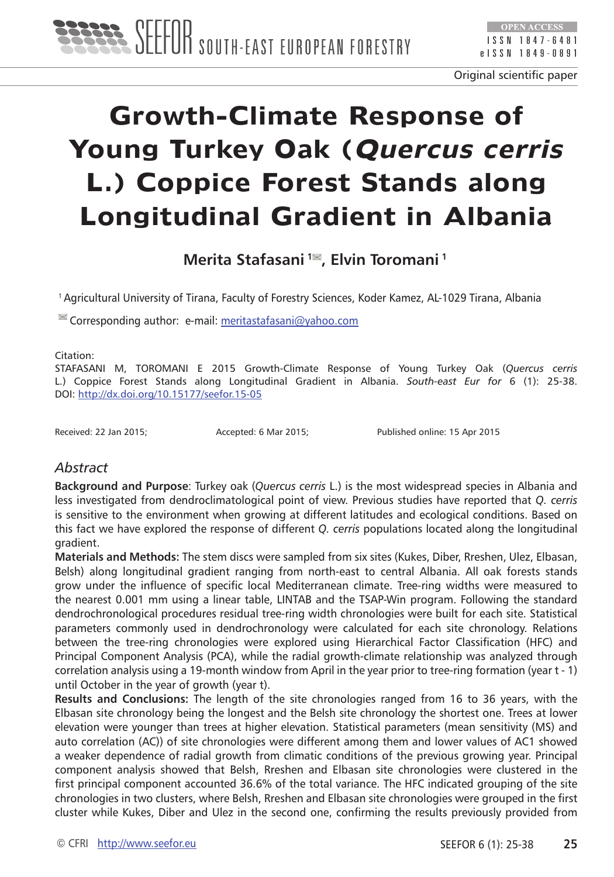

Original scientific paper

# **Growth-Climate Response of Young Turkey Oak (Quercus cerris L.) Coppice Forest Stands along Longitudinal Gradient in Albania**

**Merita Stafasani 1 , Elvin Toromani 1**

1 Agricultural University of Tirana, Faculty of Forestry Sciences, Koder Kamez, AL-1029 Tirana, Albania

 $\mathbb{R}$  Corresponding author: e-mail: meritastafasani@vahoo.com

Citation:

STAFASANI M, TOROMANI E 2015 Growth-Climate Response of Young Turkey Oak (*Quercus cerris* L.) Coppice Forest Stands along Longitudinal Gradient in Albania. *South-east Eur for* 6 (1): 25-38. DOI: <http://dx.doi.org/10.15177/seefor.15-05>

Received: 22 Jan 2015; Accepted: 6 Mar 2015; Published online: 15 Apr 2015

## *Abstract*

**Background and Purpose**: Turkey oak (*Quercus cerris* L.) is the most widespread species in Albania and less investigated from dendroclimatological point of view. Previous studies have reported that *Q. cerris* is sensitive to the environment when growing at different latitudes and ecological conditions. Based on this fact we have explored the response of different *Q. cerris* populations located along the longitudinal gradient.

**Materials and Methods:** The stem discs were sampled from six sites (Kukes, Diber, Rreshen, Ulez, Elbasan, Belsh) along longitudinal gradient ranging from north-east to central Albania. All oak forests stands grow under the influence of specific local Mediterranean climate. Tree-ring widths were measured to the nearest 0.001 mm using a linear table, LINTAB and the TSAP-Win program. Following the standard dendrochronological procedures residual tree-ring width chronologies were built for each site. Statistical parameters commonly used in dendrochronology were calculated for each site chronology. Relations between the tree-ring chronologies were explored using Hierarchical Factor Classification (HFC) and Principal Component Analysis (PCA), while the radial growth-climate relationship was analyzed through correlation analysis using a 19-month window from April in the year prior to tree-ring formation (year t - 1) until October in the year of growth (year t).

**Results and Conclusions:** The length of the site chronologies ranged from 16 to 36 years, with the Elbasan site chronology being the longest and the Belsh site chronology the shortest one. Trees at lower elevation were younger than trees at higher elevation. Statistical parameters (mean sensitivity (MS) and auto correlation (AC)) of site chronologies were different among them and lower values of AC1 showed a weaker dependence of radial growth from climatic conditions of the previous growing year. Principal component analysis showed that Belsh, Rreshen and Elbasan site chronologies were clustered in the first principal component accounted 36.6% of the total variance. The HFC indicated grouping of the site chronologies in two clusters, where Belsh, Rreshen and Elbasan site chronologies were grouped in the first cluster while Kukes, Diber and Ulez in the second one, confirming the results previously provided from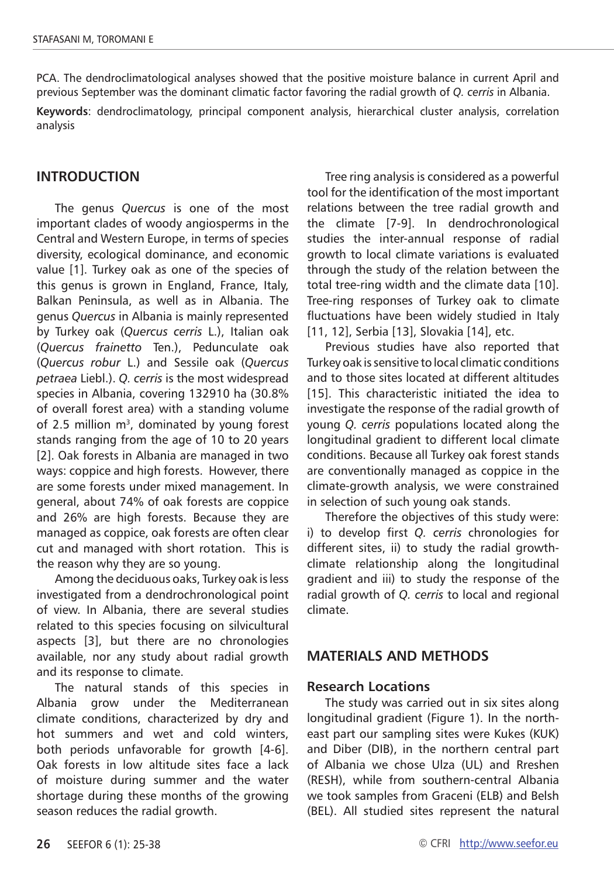PCA. The dendroclimatological analyses showed that the positive moisture balance in current April and previous September was the dominant climatic factor favoring the radial growth of *Q. cerris* in Albania.

**Keywords**: dendroclimatology, principal component analysis, hierarchical cluster analysis, correlation analysis

## **Introduction**

The genus *Quercus* is one of the most important clades of woody angiosperms in the Central and Western Europe, in terms of species diversity, ecological dominance, and economic value [1]. Turkey oak as one of the species of this genus is grown in England, France, Italy, Balkan Peninsula, as well as in Albania. The genus *Quercus* in Albania is mainly represented by Turkey oak (*Quercus cerris* L.), Italian oak (*Quercus frainetto* Ten.), Pedunculate oak (*Quercus robur* L.) and Sessile oak (*Quercus petraea* Liebl.). *Q. cerris* is the most widespread species in Albania, covering 132910 ha (30.8% of overall forest area) with a standing volume of 2.5 million  $m<sup>3</sup>$ , dominated by young forest stands ranging from the age of 10 to 20 years [2]. Oak forests in Albania are managed in two ways: coppice and high forests. However, there are some forests under mixed management. In general, about 74% of oak forests are coppice and 26% are high forests. Because they are managed as coppice, oak forests are often clear cut and managed with short rotation. This is the reason why they are so young.

Among the deciduous oaks, Turkey oak is less investigated from a dendrochronological point of view. In Albania, there are several studies related to this species focusing on silvicultural aspects [3], but there are no chronologies available, nor any study about radial growth and its response to climate.

The natural stands of this species in Albania grow under the Mediterranean climate conditions, characterized by dry and hot summers and wet and cold winters, both periods unfavorable for growth [4-6]. Oak forests in low altitude sites face a lack of moisture during summer and the water shortage during these months of the growing season reduces the radial growth.

Tree ring analysis is considered as a powerful tool for the identification of the most important relations between the tree radial growth and the climate [7-9]. In dendrochronological studies the inter-annual response of radial growth to local climate variations is evaluated through the study of the relation between the total tree-ring width and the climate data [10]. Tree-ring responses of Turkey oak to climate fluctuations have been widely studied in Italy [11, 12], Serbia [13], Slovakia [14], etc.

Previous studies have also reported that Turkey oak is sensitive to local climatic conditions and to those sites located at different altitudes [15]. This characteristic initiated the idea to investigate the response of the radial growth of young *Q. cerris* populations located along the longitudinal gradient to different local climate conditions. Because all Turkey oak forest stands are conventionally managed as coppice in the climate-growth analysis, we were constrained in selection of such young oak stands.

Therefore the objectives of this study were: i) to develop first *Q. cerris* chronologies for different sites, ii) to study the radial growthclimate relationship along the longitudinal gradient and iii) to study the response of the radial growth of *Q. cerris* to local and regional climate.

## **MATERIALS AND METHODS**

#### **Research Locations**

The study was carried out in six sites along longitudinal gradient (Figure 1). In the northeast part our sampling sites were Kukes (KUK) and Diber (DIB), in the northern central part of Albania we chose Ulza (UL) and Rreshen (RESH), while from southern-central Albania we took samples from Graceni (ELB) and Belsh (BEL). All studied sites represent the natural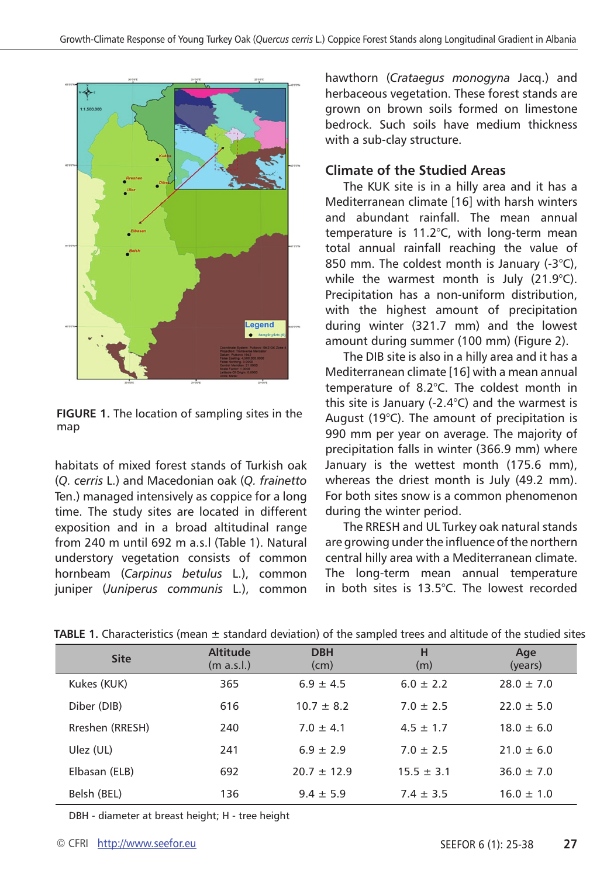

**FIGURE 1.** The location of sampling sites in the map

habitats of mixed forest stands of Turkish oak (*Q. cerris* L.) and Macedonian oak (*Q. frainetto* Ten.) managed intensively as coppice for a long time. The study sites are located in different exposition and in a broad altitudinal range from 240 m until 692 m a.s.l (Table 1). Natural understory vegetation consists of common hornbeam (*Carpinus betulus* L.), common juniper (*Juniperus communis* L.), common hawthorn (*Crataegus monogyna* Jacq.) and herbaceous vegetation. These forest stands are grown on brown soils formed on limestone bedrock. Such soils have medium thickness with a sub-clay structure.

# **Climate of the Studied Areas**

The KUK site is in a hilly area and it has a Mediterranean climate [16] with harsh winters and abundant rainfall. The mean annual temperature is 11.2°C, with long-term mean total annual rainfall reaching the value of 850 mm. The coldest month is January (-3°C), while the warmest month is July  $(21.9^{\circ}C)$ . Precipitation has a non-uniform distribution, with the highest amount of precipitation during winter (321.7 mm) and the lowest amount during summer (100 mm) (Figure 2).

The DIB site is also in a hilly area and it has a Mediterranean climate [16] with a mean annual temperature of 8.2°C. The coldest month in this site is January (-2.4°C) and the warmest is August (19°C). The amount of precipitation is 990 mm per year on average. The majority of precipitation falls in winter (366.9 mm) where January is the wettest month (175.6 mm), whereas the driest month is July (49.2 mm). For both sites snow is a common phenomenon during the winter period.

The RRESH and UL Turkey oak natural stands are growing under the influence of the northern central hilly area with a Mediterranean climate. The long-term mean annual temperature in both sites is 13.5°C. The lowest recorded

| <b>Site</b>     | <b>Altitude</b><br>(m a.s.l.) | <b>DBH</b><br>(cm) | н<br>(m)       | Age<br>(years) |
|-----------------|-------------------------------|--------------------|----------------|----------------|
| Kukes (KUK)     | 365                           | $6.9 + 4.5$        | $6.0 \pm 2.2$  | $28.0 \pm 7.0$ |
| Diber (DIB)     | 616                           | $10.7 \pm 8.2$     | $7.0 + 2.5$    | $22.0 \pm 5.0$ |
| Rreshen (RRESH) | 240                           | $7.0 + 4.1$        | $4.5 \pm 1.7$  | $18.0 \pm 6.0$ |
| Ulez (UL)       | 241                           | $6.9 + 2.9$        | $7.0 \pm 2.5$  | $21.0 \pm 6.0$ |
| Elbasan (ELB)   | 692                           | $20.7 + 12.9$      | $15.5 \pm 3.1$ | $36.0 \pm 7.0$ |
| Belsh (BEL)     | 136                           | $9.4 \pm 5.9$      | $7.4 \pm 3.5$  | $16.0 \pm 1.0$ |

**TABLE 1.** Characteristics (mean ± standard deviation) of the sampled trees and altitude of the studied sites

DBH - diameter at breast height; H - tree height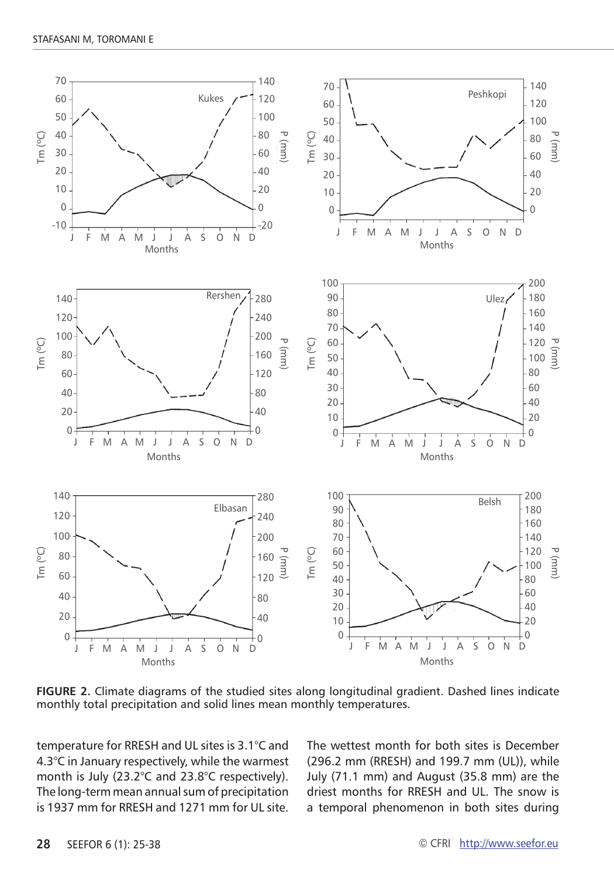

**FIGURE 2.** Climate diagrams of the studied sites along longitudinal gradient. Dashed lines indicate monthly total precipitation and solid lines mean monthly temperatures.

temperature for RRESH and UL sites is 3.1°C and 4.3°C in January respectively, while the warmest month is July (23.2°C and 23.8°C respectively). The long-term mean annual sum of precipitation is 1937 mm for RRFSH and 1271 mm for UL site. The wettest month for both sites is December (296.2 mm (RRESH) and 199.7 mm (UL)), while July (71.1 mm) and August (35.8 mm) are the driest months for RRESH and UL. The snow is a temporal phenomenon in both sites during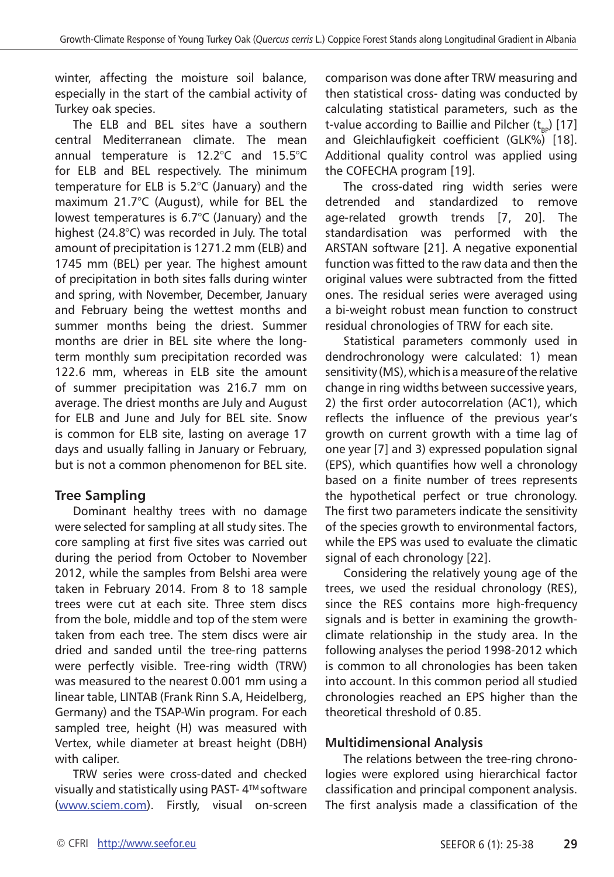winter, affecting the moisture soil balance, especially in the start of the cambial activity of Turkey oak species.

The ELB and BEL sites have a southern central Mediterranean climate. The mean annual temperature is 12.2°C and 15.5°C for ELB and BEL respectively. The minimum temperature for ELB is 5.2°C (January) and the maximum 21.7°C (August), while for BEL the lowest temperatures is 6.7°C (January) and the highest (24.8°C) was recorded in July. The total amount of precipitation is 1271.2 mm (ELB) and 1745 mm (BEL) per year. The highest amount of precipitation in both sites falls during winter and spring, with November, December, January and February being the wettest months and summer months being the driest. Summer months are drier in BEL site where the longterm monthly sum precipitation recorded was 122.6 mm, whereas in ELB site the amount of summer precipitation was 216.7 mm on average. The driest months are July and August for ELB and June and July for BEL site. Snow is common for ELB site, lasting on average 17 days and usually falling in January or February, but is not a common phenomenon for BEL site.

# **Tree Sampling**

Dominant healthy trees with no damage were selected for sampling at all study sites. The core sampling at first five sites was carried out during the period from October to November 2012, while the samples from Belshi area were taken in February 2014. From 8 to 18 sample trees were cut at each site. Three stem discs from the bole, middle and top of the stem were taken from each tree. The stem discs were air dried and sanded until the tree-ring patterns were perfectly visible. Tree-ring width (TRW) was measured to the nearest 0.001 mm using a linear table, LINTAB (Frank Rinn S.A, Heidelberg, Germany) and the TSAP-Win program. For each sampled tree, height (H) was measured with Vertex, while diameter at breast height (DBH) with caliper.

TRW series were cross-dated and checked visually and statistically using PAST-4<sup>™</sup> software [\(www.sciem.com\)](http://www.sciem.com). Firstly, visual on-screen

comparison was done after TRW measuring and then statistical cross- dating was conducted by calculating statistical parameters, such as the t-value according to Baillie and Pilcher  $(t_{\text{p}})$  [17] and Gleichlaufigkeit coefficient (GLK%) [18]. Additional quality control was applied using the COFECHA program [19].

The cross-dated ring width series were detrended and standardized to remove age-related growth trends [7, 20]. The standardisation was performed with the ARSTAN software [21]. A negative exponential function was fitted to the raw data and then the original values were subtracted from the fitted ones. The residual series were averaged using a bi-weight robust mean function to construct residual chronologies of TRW for each site.

Statistical parameters commonly used in dendrochronology were calculated: 1) mean sensitivity (MS), which is a measure of the relative change in ring widths between successive years, 2) the first order autocorrelation (AC1), which reflects the influence of the previous year's growth on current growth with a time lag of one year [7] and 3) expressed population signal (EPS), which quantifies how well a chronology based on a finite number of trees represents the hypothetical perfect or true chronology. The first two parameters indicate the sensitivity of the species growth to environmental factors, while the EPS was used to evaluate the climatic signal of each chronology [22].

Considering the relatively young age of the trees, we used the residual chronology (RES), since the RES contains more high-frequency signals and is better in examining the growthclimate relationship in the study area. In the following analyses the period 1998-2012 which is common to all chronologies has been taken into account. In this common period all studied chronologies reached an EPS higher than the theoretical threshold of 0.85.

# **Multidimensional Analysis**

The relations between the tree-ring chronologies were explored using hierarchical factor classification and principal component analysis. The first analysis made a classification of the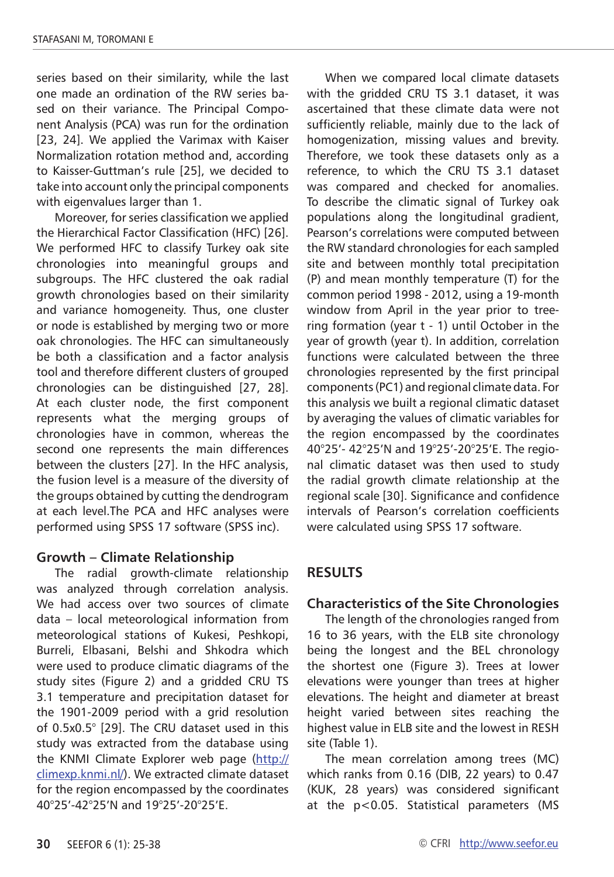series based on their similarity, while the last one made an ordination of the RW series based on their variance. The Principal Component Analysis (PCA) was run for the ordination [23, 24]. We applied the Varimax with Kaiser Normalization rotation method and, according to Kaisser-Guttman's rule [25], we decided to take into account only the principal components with eigenvalues larger than 1.

Moreover, for series classification we applied the Hierarchical Factor Classification (HFC) [26]. We performed HFC to classify Turkey oak site chronologies into meaningful groups and subgroups. The HFC clustered the oak radial growth chronologies based on their similarity and variance homogeneity. Thus, one cluster or node is established by merging two or more oak chronologies. The HFC can simultaneously be both a classification and a factor analysis tool and therefore different clusters of grouped chronologies can be distinguished [27, 28]. At each cluster node, the first component represents what the merging groups of chronologies have in common, whereas the second one represents the main differences between the clusters [27]. In the HFC analysis, the fusion level is a measure of the diversity of the groups obtained by cutting the dendrogram at each level.The PCA and HFC analyses were performed using SPSS 17 software (SPSS inc).

# **Growth – Climate Relationship**

The radial growth-climate relationship was analyzed through correlation analysis. We had access over two sources of climate data – local meteorological information from meteorological stations of Kukesi, Peshkopi, Burreli, Elbasani, Belshi and Shkodra which were used to produce climatic diagrams of the study sites (Figure 2) and a gridded CRU TS 3.1 temperature and precipitation dataset for the 1901-2009 period with a grid resolution of 0.5x0.5° [29]. The CRU dataset used in this study was extracted from the database using the KNMI Climate Explorer web page ([http://](http://climexp.knmi.nl/) [climexp.knmi.nl/\)](http://climexp.knmi.nl/). We extracted climate dataset for the region encompassed by the coordinates 40°25'-42°25'N and 19°25'-20°25'E.

When we compared local climate datasets with the gridded CRU TS 3.1 dataset, it was ascertained that these climate data were not sufficiently reliable, mainly due to the lack of homogenization, missing values and brevity. Therefore, we took these datasets only as a reference, to which the CRU TS 3.1 dataset was compared and checked for anomalies. To describe the climatic signal of Turkey oak populations along the longitudinal gradient, Pearson's correlations were computed between the RW standard chronologies for each sampled site and between monthly total precipitation (P) and mean monthly temperature (T) for the common period 1998 - 2012, using a 19-month window from April in the year prior to treering formation (year t - 1) until October in the year of growth (year t). In addition, correlation functions were calculated between the three chronologies represented by the first principal components (PC1) and regional climate data. For this analysis we built a regional climatic dataset by averaging the values of climatic variables for the region encompassed by the coordinates 40°25'- 42°25'N and 19°25'-20°25'E. The regional climatic dataset was then used to study the radial growth climate relationship at the regional scale [30]. Significance and confidence intervals of Pearson's correlation coefficients were calculated using SPSS 17 software.

# **RESULTS**

# **Characteristics of the Site Chronologies**

The length of the chronologies ranged from 16 to 36 years, with the ELB site chronology being the longest and the BEL chronology the shortest one (Figure 3). Trees at lower elevations were younger than trees at higher elevations. The height and diameter at breast height varied between sites reaching the highest value in ELB site and the lowest in RESH site (Table 1).

The mean correlation among trees (MC) which ranks from 0.16 (DIB, 22 years) to 0.47 (KUK, 28 years) was considered significant at the p<0.05. Statistical parameters (MS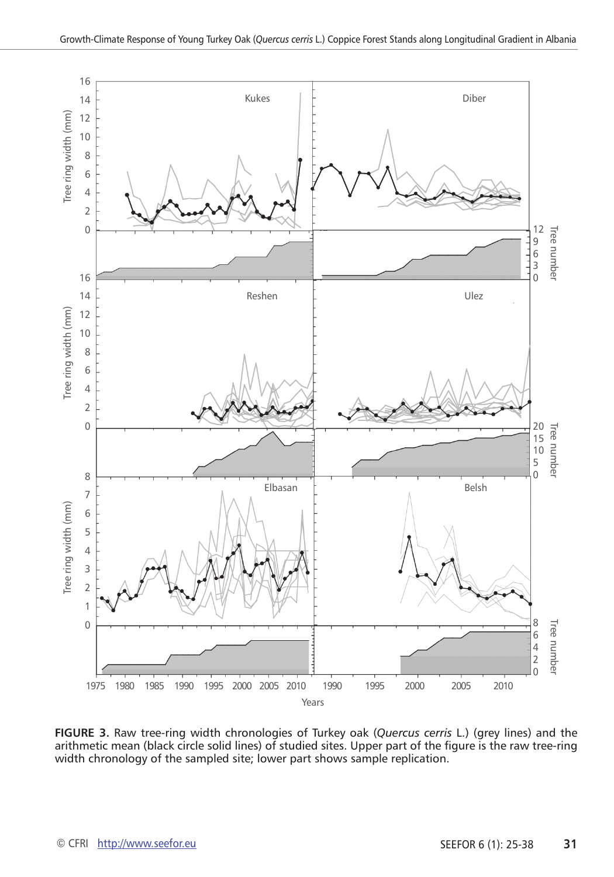

**FIGURE 3.** Raw tree-ring width chronologies of Turkey oak (*Quercus cerris* L.) (grey lines) and the arithmetic mean (black circle solid lines) of studied sites. Upper part of the figure is the raw tree-ring width chronology of the sampled site; lower part shows sample replication.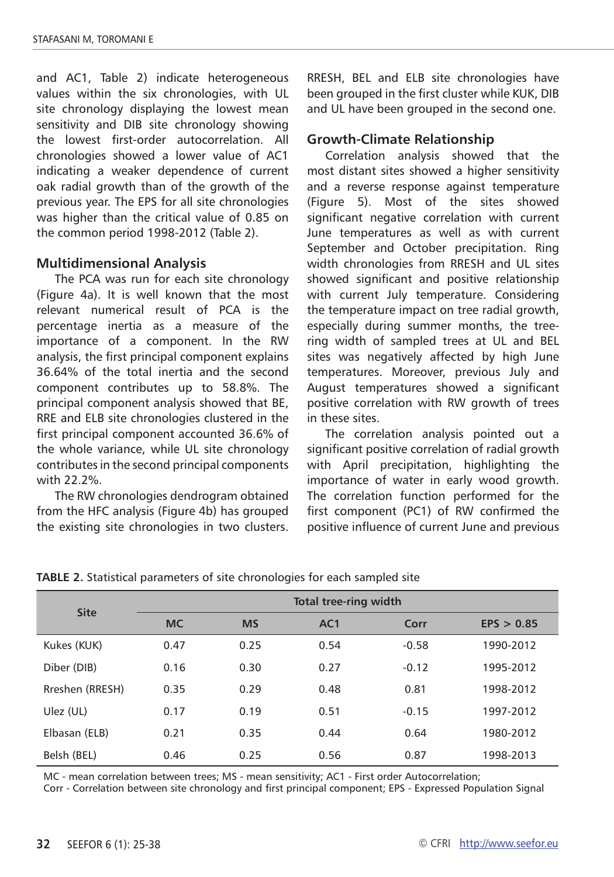and AC1, Table 2) indicate heterogeneous values within the six chronologies, with UL site chronology displaying the lowest mean sensitivity and DIB site chronology showing the lowest first-order autocorrelation. All chronologies showed a lower value of AC1 indicating a weaker dependence of current oak radial growth than of the growth of the previous year. The EPS for all site chronologies was higher than the critical value of 0.85 on the common period 1998-2012 (Table 2).

## **Multidimensional Analysis**

The PCA was run for each site chronology (Figure 4a). It is well known that the most relevant numerical result of PCA is the percentage inertia as a measure of the importance of a component. In the RW analysis, the first principal component explains 36.64% of the total inertia and the second component contributes up to 58.8%. The principal component analysis showed that BE, RRE and ELB site chronologies clustered in the first principal component accounted 36.6% of the whole variance, while UL site chronology contributes in the second principal components with 22.2%.

The RW chronologies dendrogram obtained from the HFC analysis (Figure 4b) has grouped the existing site chronologies in two clusters. RRESH, BEL and ELB site chronologies have been grouped in the first cluster while KUK, DIB and UL have been grouped in the second one.

## **Growth-Climate Relationship**

Correlation analysis showed that the most distant sites showed a higher sensitivity and a reverse response against temperature (Figure 5). Most of the sites showed significant negative correlation with current June temperatures as well as with current September and October precipitation. Ring width chronologies from RRESH and UL sites showed significant and positive relationship with current July temperature. Considering the temperature impact on tree radial growth, especially during summer months, the treering width of sampled trees at UL and BEL sites was negatively affected by high June temperatures. Moreover, previous July and August temperatures showed a significant positive correlation with RW growth of trees in these sites.

The correlation analysis pointed out a significant positive correlation of radial growth with April precipitation, highlighting the importance of water in early wood growth. The correlation function performed for the first component (PC1) of RW confirmed the positive influence of current June and previous

| <b>Site</b>     | <b>Total tree-ring width</b> |           |                 |         |            |  |
|-----------------|------------------------------|-----------|-----------------|---------|------------|--|
|                 | <b>MC</b>                    | <b>MS</b> | AC <sub>1</sub> | Corr    | EPS > 0.85 |  |
| Kukes (KUK)     | 0.47                         | 0.25      | 0.54            | $-0.58$ | 1990-2012  |  |
| Diber (DIB)     | 0.16                         | 0.30      | 0.27            | $-0.12$ | 1995-2012  |  |
| Rreshen (RRESH) | 0.35                         | 0.29      | 0.48            | 0.81    | 1998-2012  |  |
| Ulez (UL)       | 0.17                         | 0.19      | 0.51            | $-0.15$ | 1997-2012  |  |
| Elbasan (ELB)   | 0.21                         | 0.35      | 0.44            | 0.64    | 1980-2012  |  |
| Belsh (BEL)     | 0.46                         | 0.25      | 0.56            | 0.87    | 1998-2013  |  |

**TABLE 2.** Statistical parameters of site chronologies for each sampled site

MC - mean correlation between trees; MS - mean sensitivity; AC1 - First order Autocorrelation;

Corr - Correlation between site chronology and first principal component; EPS - Expressed Population Signal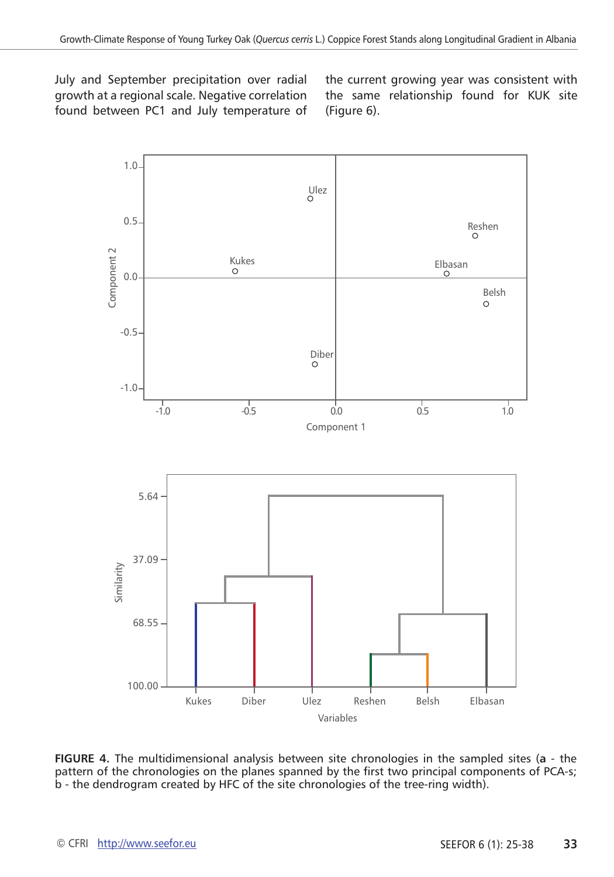July and September precipitation over radial growth at a regional scale. Negative correlation found between PC1 and July temperature of the current growing year was consistent with the same relationship found for KUK site (Figure 6).



**FIGURE 4.** The multidimensional analysis between site chronologies in the sampled sites (**a** - the pattern of the chronologies on the planes spanned by the first two principal components of PCA-s; b - the dendrogram created by HFC of the site chronologies of the tree-ring width).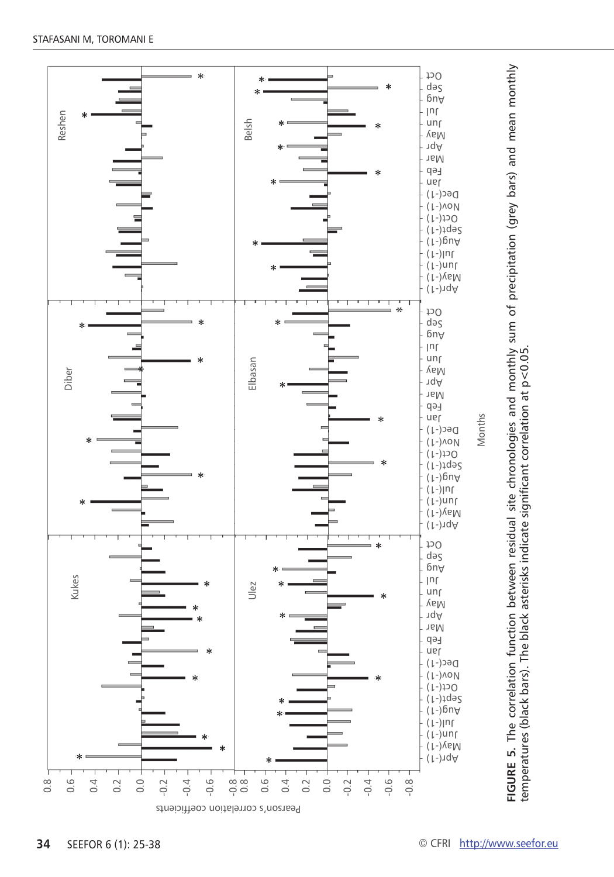

**URE 5.** The correlation function between residual site chronologies and monthly sum of precipitation (grey bars) and mean monthly temperatures (black bars). The black asterisks indicate significant correlation at p $<$ 0.05.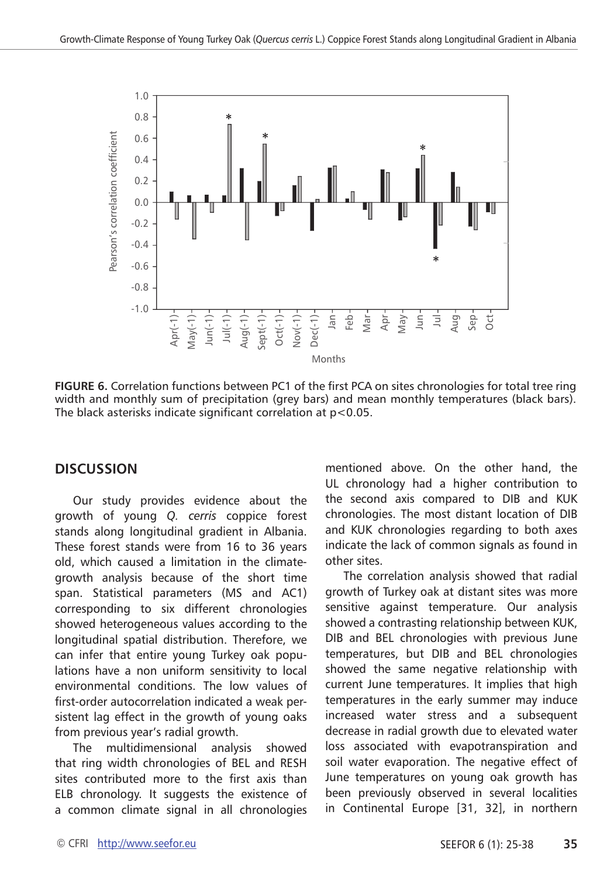

**FIGURE 6.** Correlation functions between PC1 of the first PCA on sites chronologies for total tree ring width and monthly sum of precipitation (grey bars) and mean monthly temperatures (black bars).

# **DISCUSSION**

Our study provides evidence about the growth of young *Q. cerris* coppice forest stands along longitudinal gradient in Albania. These forest stands were from 16 to 36 years old, which caused a limitation in the climategrowth analysis because of the short time span. Statistical parameters (MS and AC1) corresponding to six different chronologies showed heterogeneous values according to the longitudinal spatial distribution. Therefore, we can infer that entire young Turkey oak populations have a non uniform sensitivity to local environmental conditions. The low values of first-order autocorrelation indicated a weak persistent lag effect in the growth of young oaks from previous year's radial growth.

The multidimensional analysis showed that ring width chronologies of BEL and RESH sites contributed more to the first axis than ELB chronology. It suggests the existence of a common climate signal in all chronologies

mentioned above. On the other hand, the UL chronology had a higher contribution to the second axis compared to DIB and KUK chronologies. The most distant location of DIB and KUK chronologies regarding to both axes indicate the lack of common signals as found in other sites.

The correlation analysis showed that radial growth of Turkey oak at distant sites was more sensitive against temperature. Our analysis showed a contrasting relationship between KUK, DIB and BEL chronologies with previous June temperatures, but DIB and BEL chronologies showed the same negative relationship with current June temperatures. It implies that high temperatures in the early summer may induce increased water stress and a subsequent decrease in radial growth due to elevated water loss associated with evapotranspiration and soil water evaporation. The negative effect of June temperatures on young oak growth has been previously observed in several localities in Continental Europe [31, 32], in northern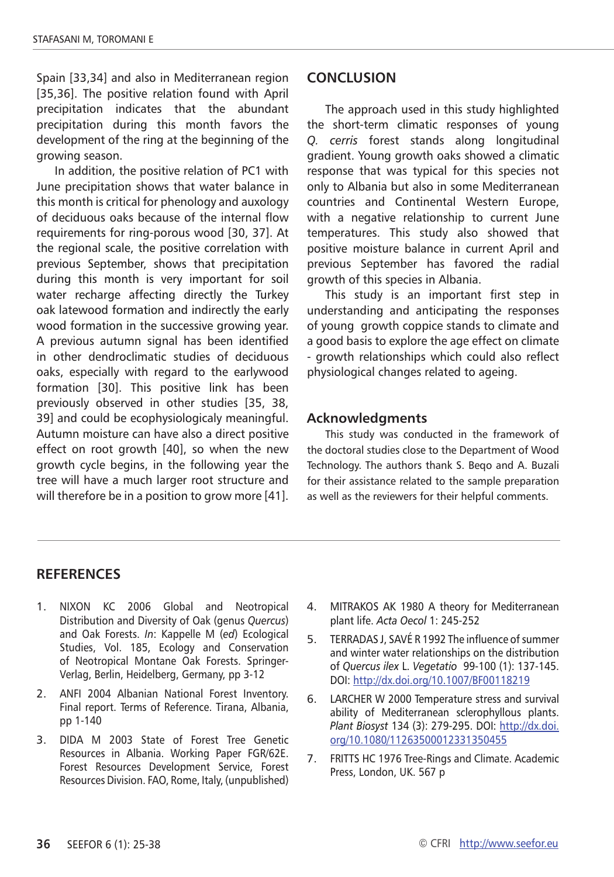Spain [33,34] and also in Mediterranean region [35,36]. The positive relation found with April precipitation indicates that the abundant precipitation during this month favors the development of the ring at the beginning of the growing season.

In addition, the positive relation of PC1 with June precipitation shows that water balance in this month is critical for phenology and auxology of deciduous oaks because of the internal flow requirements for ring-porous wood [30, 37]. At the regional scale, the positive correlation with previous September, shows that precipitation during this month is very important for soil water recharge affecting directly the Turkey oak latewood formation and indirectly the early wood formation in the successive growing year. A previous autumn signal has been identified in other dendroclimatic studies of deciduous oaks, especially with regard to the earlywood formation [30]. This positive link has been previously observed in other studies [35, 38, 39] and could be ecophysiologicaly meaningful. Autumn moisture can have also a direct positive effect on root growth [40], so when the new growth cycle begins, in the following year the tree will have a much larger root structure and will therefore be in a position to grow more [41].

## **CONCLUSION**

The approach used in this study highlighted the short-term climatic responses of young *Q. cerris* forest stands along longitudinal gradient. Young growth oaks showed a climatic response that was typical for this species not only to Albania but also in some Mediterranean countries and Continental Western Europe, with a negative relationship to current June temperatures. This study also showed that positive moisture balance in current April and previous September has favored the radial growth of this species in Albania.

This study is an important first step in understanding and anticipating the responses of young growth coppice stands to climate and a good basis to explore the age effect on climate - growth relationships which could also reflect physiological changes related to ageing.

## **Acknowledgments**

This study was conducted in the framework of the doctoral studies close to the Department of Wood Technology. The authors thank S. Beqo and A. Buzali for their assistance related to the sample preparation as well as the reviewers for their helpful comments.

## **RefereNces**

- 1. NIXON KC 2006 Global and Neotropical Distribution and Diversity of Oak (genus *Quercus*) and Oak Forests. *In*: Kappelle M (*ed*) Ecological Studies, Vol. 185, Ecology and Conservation of Neotropical Montane Oak Forests. Springer-Verlag, Berlin, Heidelberg, Germany, pp 3-12
- 2. ANFI 2004 Albanian National Forest Inventory. Final report. Terms of Reference. Tirana, Albania, pp 1-140
- 3. DIDA M 2003 State of Forest Tree Genetic Resources in Albania. Working Paper FGR/62E. Forest Resources Development Service, Forest Resources Division. FAO, Rome, Italy, (unpublished)
- 4. MITRAKOS AK 1980 A theory for Mediterranean plant life. *Acta Oecol* 1: 245-252
- 5. TERRADAS J, SAVÉ R 1992 The influence of summer and winter water relationships on the distribution of *Quercus ilex* L. *Vegetatio* 99-100 (1): 137-145. DOI:<http://dx.doi.org/10.1007/BF00118219>
- 6. LARCHER W 2000 Temperature stress and survival ability of Mediterranean sclerophyllous plants. *Plant Biosyst* 134 (3): 279-295. DOI: [http://dx.doi.](http://dx.doi.org/10.1080/11263500012331350455) [org/10.1080/11263500012331350455](http://dx.doi.org/10.1080/11263500012331350455)
- 7. FRITTS HC 1976 Tree-Rings and Climate. Academic Press, London, UK. 567 p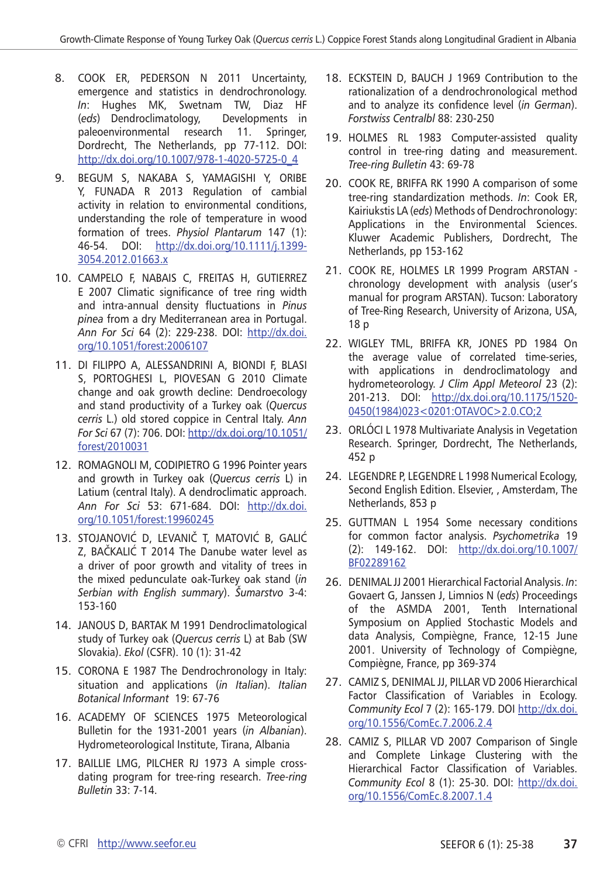- 8. COOK ER, PEDERSON N 2011 Uncertainty, emergence and statistics in dendrochronology. *In*: Hughes MK, Swetnam TW, Diaz HF (*eds*) Dendroclimatology, Developments in paleoenvironmental research 11. Springer, Dordrecht, The Netherlands, pp 77-112. DOI: [http://dx.doi.org/10.1007/978-1-4020-5725-0\\_4](http://dx.doi.org/10.1007/978-1-4020-5725-0_4)
- 9. BEGUM S, NAKABA S, YAMAGISHI Y, ORIBE Y, FUNADA R 2013 Regulation of cambial activity in relation to environmental conditions, understanding the role of temperature in wood formation of trees. *Physiol Plantarum* 147 (1): 46-54. DOI: [http://dx.doi.org/10.1111/j.1399-](http://dx.doi.org/10.1111/j.1399-3054.2012.01663.x) [3054.2012.01663.x](http://dx.doi.org/10.1111/j.1399-3054.2012.01663.x)
- 10. CAMPELO F, NABAIS C, FREITAS H, GUTIERREZ E 2007 Climatic significance of tree ring width and intra-annual density fluctuations in *Pinus pinea* from a dry Mediterranean area in Portugal. *Ann For Sci* 64 (2): 229-238. DOI: [http://dx.doi.](http://dx.doi.org/10.1051/forest:2006107) [org/10.1051/forest:2006107](http://dx.doi.org/10.1051/forest:2006107)
- 11. DI FILIPPO A, ALESSANDRINI A, BIONDI F, BLASI S, PORTOGHESI L, PIOVESAN G 2010 Climate change and oak growth decline: Dendroecology and stand productivity of a Turkey oak (*Quercus cerris* L.) old stored coppice in Central Italy. *Ann For Sci* 67 (7): 706. DOI: [http://dx.doi.org/10.1051/](http://dx.doi.org/10.1051/forest/2010031) [forest/2010031](http://dx.doi.org/10.1051/forest/2010031)
- 12. ROMAGNOLI M, CODIPIETRO G 1996 Pointer years and growth in Turkey oak (*Quercus cerris* L) in Latium (central Italy). A dendroclimatic approach. *Ann For Sci* 53: 671-684. DOI: [http://dx.doi.](http://dx.doi.org/10.1051/forest:19960245) [org/10.1051/forest:19960245](http://dx.doi.org/10.1051/forest:19960245)
- 13. STOJANOVIĆ D, LEVANIČ T, MATOVIĆ B, GALIĆ Z, BAČKALIĆ T 2014 The Danube water level as a driver of poor growth and vitality of trees in the mixed pedunculate oak-Turkey oak stand (*in Serbian with English summary*). *Šumarstvo* 3-4: 153-160
- 14. JANOUS D, BARTAK M 1991 Dendroclimatological study of Turkey oak (*Quercus cerris* L) at Bab (SW Slovakia). *Ekol* (CSFR). 10 (1): 31-42
- 15. CORONA E 1987 The Dendrochronology in Italy: situation and applications (*in Italian*). *Italian Botanical Informant* 19: 67-76
- 16. ACADEMY OF SCIENCES 1975 Meteorological Bulletin for the 1931-2001 years (*in Albanian*). Hydrometeorological Institute, Tirana, Albania
- 17. BAILLIE LMG, PILCHER RJ 1973 A simple crossdating program for tree-ring research. *Tree-ring Bulletin* 33: 7-14.
- 18. ECKSTEIN D, BAUCH J 1969 Contribution to the rationalization of a dendrochronological method and to analyze its confidence level (*in German*). *Forstwiss Centralbl* 88: 230-250
- 19. HOLMES RL 1983 Computer-assisted quality control in tree-ring dating and measurement. *Tree-ring Bulletin* 43: 69-78
- 20. COOK RE, BRIFFA RK 1990 A comparison of some tree-ring standardization methods. *In*: Cook ER, Kairiukstis LA (*eds*) Methods of Dendrochronology: Applications in the Environmental Sciences. Kluwer Academic Publishers, Dordrecht, The Netherlands, pp 153-162
- 21. COOK RE, HOLMES LR 1999 Program ARSTAN chronology development with analysis (user's manual for program ARSTAN). Tucson: Laboratory of Tree-Ring Research, University of Arizona, USA, 18 p
- 22. WIGLEY TML, BRIFFA KR, JONES PD 1984 On the average value of correlated time-series, with applications in dendroclimatology and hydrometeorology. *J Clim Appl Meteorol* 23 (2): 201-213. DOI: [http://dx.doi.org/10.1175/1520-](http://dx.doi.org/10.1175/1520-0450(1984)023%3c0201:OTAVOC%3e2.0.CO;2) [0450\(1984\)023<0201:OTAVOC>2.0.CO;2](http://dx.doi.org/10.1175/1520-0450(1984)023%3c0201:OTAVOC%3e2.0.CO;2)
- 23. ORLÓCI L 1978 Multivariate Analysis in Vegetation Research. Springer, Dordrecht, The Netherlands, 452 p
- 24. LEGENDRE P, LEGENDRE L 1998 Numerical Ecology, Second English Edition. Elsevier, , Amsterdam, The Netherlands, 853 p
- 25. GUTTMAN L 1954 Some necessary conditions for common factor analysis. *Psychometrika* 19 (2): 149-162. DOI: [http://dx.doi.org/10.1007/](http://dx.doi.org/10.1007/BF02289162) [BF02289162](http://dx.doi.org/10.1007/BF02289162)
- 26. DENIMAL JJ 2001 Hierarchical Factorial Analysis. *In*: Govaert G, Janssen J, Limnios N (*eds*) Proceedings of the ASMDA 2001, Tenth International Symposium on Applied Stochastic Models and data Analysis, Compiègne, France, 12-15 June 2001. University of Technology of Compiègne, Compiègne, France, pp 369-374
- 27. CAMIZ S, DENIMAL JJ, PILLAR VD 2006 Hierarchical Factor Classification of Variables in Ecology. *Community Ecol* 7 (2): 165-179. DOI [http://dx.doi.](http://dx.doi.org/10.1556/ComEc.7.2006.2.4) [org/10.1556/ComEc.7.2006.2.4](http://dx.doi.org/10.1556/ComEc.7.2006.2.4)
- 28. CAMIZ S, PILLAR VD 2007 Comparison of Single and Complete Linkage Clustering with the Hierarchical Factor Classification of Variables. *Community Ecol* 8 (1): 25-30. DOI: [http://dx.doi.](http://dx.doi.org/10.1556/ComEc.8.2007.1.4) [org/10.1556/ComEc.8.2007.1.4](http://dx.doi.org/10.1556/ComEc.8.2007.1.4)